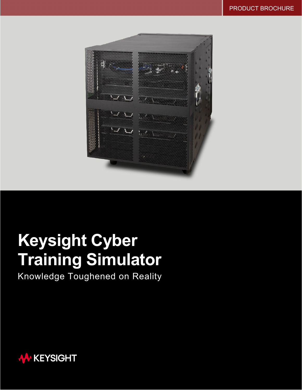

# **Keysight Cyber Training Simulator**

Knowledge Toughened on Reality

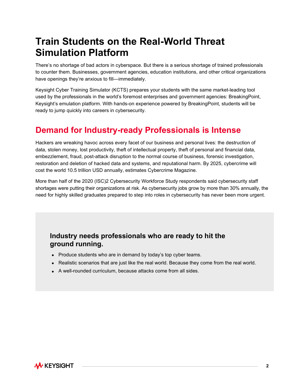## **Train Students on the Real-World Threat Simulation Platform**

There's no shortage of bad actors in cyberspace. But there is a serious shortage of trained professionals to counter them. Businesses, government agencies, education institutions, and other critical organizations have openings they're anxious to fill—immediately.

Keysight Cyber Training Simulator (KCTS) prepares your students with the same market-leading tool used by the professionals in the world's foremost enterprises and government agencies: BreakingPoint, Keysight's emulation platform. With hands-on experience powered by BreakingPoint, students will be ready to jump quickly into careers in cybersecurity.

## **Demand for Industry-ready Professionals is Intense**

Hackers are wreaking havoc across every facet of our business and personal lives: the destruction of data, stolen money, lost productivity, theft of intellectual property, theft of personal and financial data, embezzlement, fraud, post-attack disruption to the normal course of business, forensic investigation, restoration and deletion of hacked data and systems, and reputational harm. By 2025, cybercrime will cost the world 10.5 trillion USD annually, estimates Cybercrime Magazine.

More than half of the 2020 (ISC)2 Cybersecurity Workforce Study respondents said cybersecurity staff shortages were putting their organizations at risk. As cybersecurity jobs grow by more than 30% annually, the need for highly skilled graduates prepared to step into roles in cybersecurity has never been more urgent.

### **Industry needs professionals who are ready to hit the ground running.**

- Produce students who are in demand by today's top cyber teams.
- Realistic scenarios that are just like the real world. Because they come from the real world.
- A well-rounded curriculum, because attacks come from all sides.

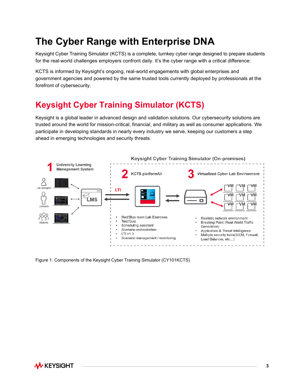## **The Cyber Range with Enterprise DNA**

Keysight Cyber Training Simulator (KCTS) is a complete, turnkey cyber range designed to prepare students for the real-world challenges employers confront daily. It's the cyber range with a critical difference:

KCTS is informed by Keysight's ongoing, real-world engagements with global enterprises and government agencies and powered by the same trusted tools currently deployed by professionals at the forefront of cybersecurity.

## **Keysight Cyber Training Simulator (KCTS)**

Keysight is a global leader in advanced design and validation solutions. Our cybersecurity solutions are trusted around the world for mission-critical, financial, and military as well as consumer applications. We participate in developing standards in nearly every industry we serve, keeping our customers a step ahead in emerging technologies and security threats.



Figure 1. Components of the Keysight Cyber Training Simulator (CY101KCTS)

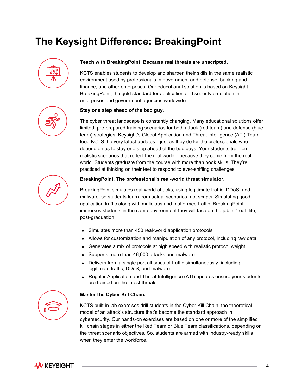## **The Keysight Difference: BreakingPoint**



#### **Teach with BreakingPoint. Because real threats are unscripted.**

KCTS enables students to develop and sharpen their skills in the same realistic environment used by professionals in government and defense, banking and finance, and other enterprises. Our educational solution is based on Keysight BreakingPoint, the gold standard for application and security emulation in enterprises and government agencies worldwide.

#### **Stay one step ahead of the bad guy.**

The cyber threat landscape is constantly changing. Many educational solutions offer limited, pre-prepared training scenarios for both attack (red team) and defense (blue team) strategies. Keysight's Global Application and Threat Intelligence (ATI) Team feed KCTS the very latest updates—just as they do for the professionals who depend on us to stay one step ahead of the bad guys. Your students train on realistic scenarios that reflect the real world—because they come from the real world. Students graduate from the course with more than book skills. They're practiced at thinking on their feet to respond to ever-shifting challenges



#### **BreakingPoint. The professional's real-world threat simulator.**

BreakingPoint simulates real-world attacks, using legitimate traffic, DDoS, and malware, so students learn from actual scenarios, not scripts. Simulating good application traffic along with malicious and malformed traffic, BreakingPoint immerses students in the same environment they will face on the job in "real" life, post-graduation.

- Simulates more than 450 real-world application protocols
- Allows for customization and manipulation of any protocol, including raw data
- Generates a mix of protocols at high speed with realistic protocol weight
- Supports more than 46,000 attacks and malware
- Delivers from a single port all types of traffic simultaneously, including legitimate traffic, DDoS, and malware
- Regular Application and Threat Intelligence (ATI) updates ensure your students are trained on the latest threats



#### **Master the Cyber Kill Chain.**

KCTS built-in lab exercises drill students in the Cyber Kill Chain, the theoretical model of an attack's structure that's become the standard approach in cybersecurity. Our hands-on exercises are based on one or more of the simplified kill chain stages in either the Red Team or Blue Team classifications, depending on the threat scenario objectives. So, students are armed with industry-ready skills when they enter the workforce.

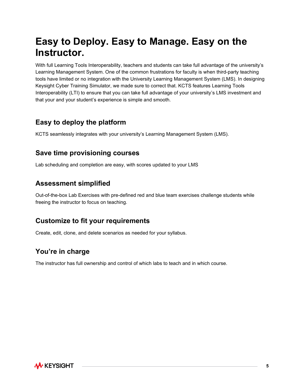## **Easy to Deploy. Easy to Manage. Easy on the Instructor.**

With full Learning Tools Interoperability, teachers and students can take full advantage of the university's Learning Management System. One of the common frustrations for faculty is when third-party teaching tools have limited or no integration with the University Learning Management System (LMS). In designing Keysight Cyber Training Simulator, we made sure to correct that. KCTS features Learning Tools Interoperability (LTI) to ensure that you can take full advantage of your university's LMS investment and that your and your student's experience is simple and smooth.

### **Easy to deploy the platform**

KCTS seamlessly integrates with your university's Learning Management System (LMS).

### **Save time provisioning courses**

Lab scheduling and completion are easy, with scores updated to your LMS

### **Assessment simplified**

Out-of-the-box Lab Exercises with pre-defined red and blue team exercises challenge students while freeing the instructor to focus on teaching.

### **Customize to fit your requirements**

Create, edit, clone, and delete scenarios as needed for your syllabus.

### **You're in charge**

The instructor has full ownership and control of which labs to teach and in which course.

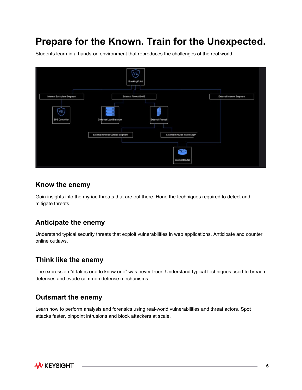## **Prepare for the Known. Train for the Unexpected.**

Students learn in a hands-on environment that reproduces the challenges of the real world.



#### **Know the enemy**

Gain insights into the myriad threats that are out there. Hone the techniques required to detect and mitigate threats.

### **Anticipate the enemy**

Understand typical security threats that exploit vulnerabilities in web applications. Anticipate and counter online outlaws.

#### **Think like the enemy**

The expression "it takes one to know one" was never truer. Understand typical techniques used to breach defenses and evade common defense mechanisms.

### **Outsmart the enemy**

Learn how to perform analysis and forensics using real-world vulnerabilities and threat actors. Spot attacks faster, pinpoint intrusions and block attackers at scale.